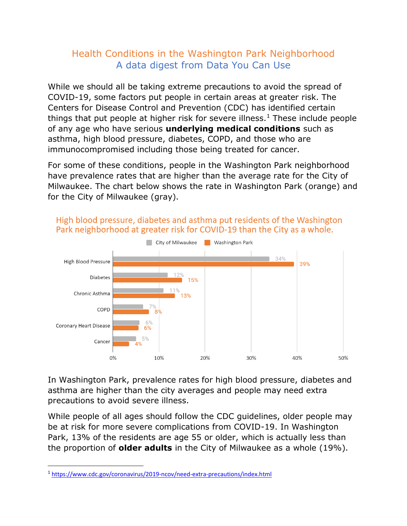## Health Conditions in the Washington Park Neighborhood A data digest from Data You Can Use

While we should all be taking extreme precautions to avoid the spread of COVID-19, some factors put people in certain areas at greater risk. The Centers for Disease Control and Prevention (CDC) has identified certain things that put people at higher risk for severe illness.<sup>1</sup> These include people of any age who have serious **underlying medical conditions** such as asthma, high blood pressure, diabetes, COPD, and those who are immunocompromised including those being treated for cancer.

For some of these conditions, people in the Washington Park neighborhood have prevalence rates that are higher than the average rate for the City of Milwaukee. The chart below shows the rate in Washington Park (orange) and for the City of Milwaukee (gray).



High blood pressure, diabetes and asthma put residents of the Washington Park neighborhood at greater risk for COVID-19 than the City as a whole.

In Washington Park, prevalence rates for high blood pressure, diabetes and asthma are higher than the city averages and people may need extra precautions to avoid severe illness.

While people of all ages should follow the CDC guidelines, older people may be at risk for more severe complications from COVID-19. In Washington Park, 13% of the residents are age 55 or older, which is actually less than the proportion of **older adults** in the City of Milwaukee as a whole (19%).

<sup>1</sup> <https://www.cdc.gov/coronavirus/2019-ncov/need-extra-precautions/index.html>